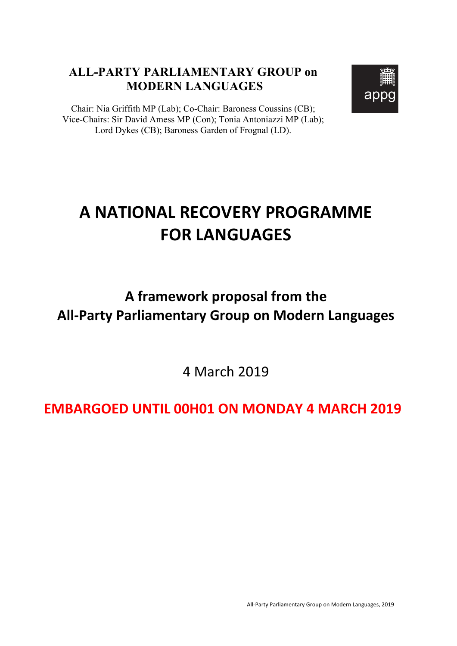#### **ALL-PARTY PARLIAMENTARY GROUP on MODERN LANGUAGES**



Chair: Nia Griffith MP (Lab); Co-Chair: Baroness Coussins (CB); Vice-Chairs: Sir David Amess MP (Con); Tonia Antoniazzi MP (Lab); Lord Dykes (CB); Baroness Garden of Frognal (LD).

# **A NATIONAL RECOVERY PROGRAMME FOR LANGUAGES**

## A framework proposal from the **All-Party Parliamentary Group on Modern Languages**

4 March 2019

### **EMBARGOED UNTIL 00H01 ON MONDAY 4 MARCH 2019**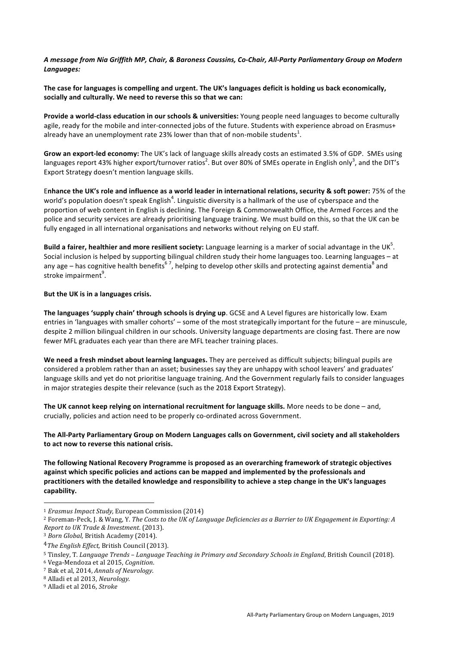*A message from Nia Griffith MP, Chair, & Baroness Coussins, Co-Chair, All-Party Parliamentary Group on Modern Languages:*

The case for languages is compelling and urgent. The UK's languages deficit is holding us back economically, socially and culturally. We need to reverse this so that we can:

**Provide a world-class education in our schools & universities:** Young people need languages to become culturally agile, ready for the mobile and inter-connected iobs of the future. Students with experience abroad on Erasmus+ already have an unemployment rate 23% lower than that of non-mobile students $^1$ .

Grow an export-led economy: The UK's lack of language skills already costs an estimated 3.5% of GDP. SMEs using languages report 43% higher export/turnover ratios<sup>2</sup>. But over 80% of SMEs operate in English only<sup>3</sup>, and the DIT's Export Strategy doesn't mention language skills.

Enhance the UK's role and influence as a world leader in international relations, security & soft power: 75% of the world's population doesn't speak English<sup>4</sup>. Linguistic diversity is a hallmark of the use of cyberspace and the proportion of web content in English is declining. The Foreign & Commonwealth Office, the Armed Forces and the police and security services are already prioritising language training. We must build on this, so that the UK can be fully engaged in all international organisations and networks without relying on EU staff.

**Build a fairer, healthier and more resilient society:** Language learning is a marker of social advantage in the UK<sup>5</sup>. Social inclusion is helped by supporting bilingual children study their home languages too. Learning languages – at any age – has cognitive health benefits<sup>67</sup>, helping to develop other skills and protecting against dementia<sup>8</sup> and stroke impairment<sup>9</sup>.

#### But the UK is in a languages crisis.

The languages 'supply chain' through schools is drying up. GCSE and A Level figures are historically low. Exam entries in 'languages with smaller cohorts' – some of the most strategically important for the future – are minuscule, despite 2 million bilingual children in our schools. University language departments are closing fast. There are now fewer MFL graduates each year than there are MFL teacher training places.

We need a fresh mindset about learning languages. They are perceived as difficult subjects; bilingual pupils are considered a problem rather than an asset; businesses say they are unhappy with school leavers' and graduates' language skills and yet do not prioritise language training. And the Government regularly fails to consider languages in major strategies despite their relevance (such as the 2018 Export Strategy).

The UK cannot keep relying on international recruitment for language skills. More needs to be done – and, crucially, policies and action need to be properly co-ordinated across Government.

The All-Party Parliamentary Group on Modern Languages calls on Government, civil society and all stakeholders to act now to reverse this national crisis.

The following National Recovery Programme is proposed as an overarching framework of strategic objectives against which specific policies and actions can be mapped and implemented by the professionals and practitioners with the detailed knowledge and responsibility to achieve a step change in the UK's languages **capability.**

 

<sup>&</sup>lt;sup>1</sup> *Erasmus Impact Study*, European Commission (2014)

<sup>&</sup>lt;sup>2</sup> Foreman-Peck, J. & Wang, Y. *The Costs to the UK of Language Deficiencies as a Barrier to UK Engagement in Exporting: A Report to UK Trade & Investment.* (2013).

<sup>&</sup>lt;sup>3</sup> Born Global, British Academy (2014).

<sup>&</sup>lt;sup>4</sup>The English Effect, British Council (2013).

<sup>5</sup> Tinsley, T. Language Trends - Language Teaching in Primary and Secondary Schools in England, British Council (2018).

<sup>6</sup> Vega-Mendoza et al 2015, *Cognition*.

<sup>&</sup>lt;sup>7</sup> Bak et al, 2014, *Annals of Neurology*.

<sup>&</sup>lt;sup>8</sup> Alladi et al 2013, *Neurology*.

<sup>&</sup>lt;sup>9</sup> Alladi et al 2016, Stroke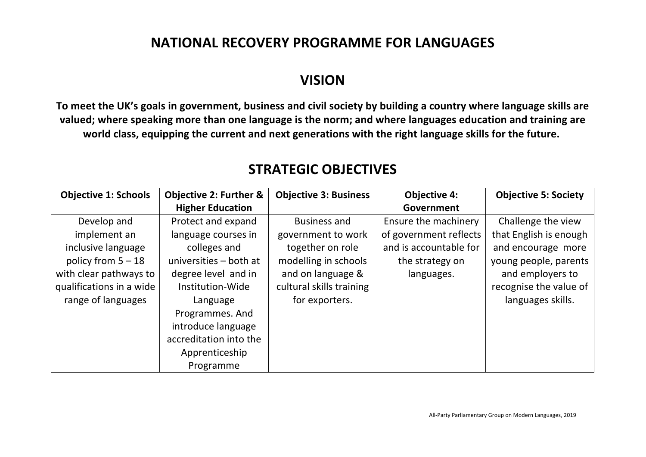### **NATIONAL RECOVERY PROGRAMME FOR LANGUAGES**

### **VISION**

To meet the UK's goals in government, business and civil society by building a country where language skills are valued; where speaking more than one language is the norm; and where languages education and training are world class, equipping the current and next generations with the right language skills for the future.

| <b>Objective 1: Schools</b> | <b>Objective 2: Further &amp;</b> | <b>Objective 3: Business</b> | <b>Objective 4:</b>    | <b>Objective 5: Society</b> |
|-----------------------------|-----------------------------------|------------------------------|------------------------|-----------------------------|
|                             | <b>Higher Education</b>           |                              | Government             |                             |
| Develop and                 | Protect and expand                | Business and                 | Ensure the machinery   | Challenge the view          |
| implement an                | language courses in               | government to work           | of government reflects | that English is enough      |
| inclusive language          | colleges and                      | together on role             | and is accountable for | and encourage more          |
| policy from $5 - 18$        | universities - both at            | modelling in schools         | the strategy on        | young people, parents       |
| with clear pathways to      | degree level and in               | and on language &            | languages.             | and employers to            |
| qualifications in a wide    | Institution-Wide                  | cultural skills training     |                        | recognise the value of      |
| range of languages          | Language                          | for exporters.               |                        | languages skills.           |
|                             | Programmes. And                   |                              |                        |                             |
|                             | introduce language                |                              |                        |                             |
|                             | accreditation into the            |                              |                        |                             |
|                             | Apprenticeship                    |                              |                        |                             |
|                             | Programme                         |                              |                        |                             |

### **STRATEGIC OBJECTIVES**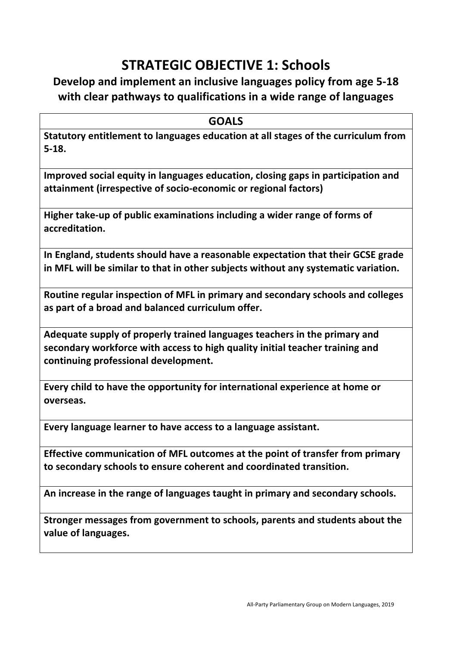### **STRATEGIC OBJECTIVE 1: Schools**

### **Develop and implement an inclusive languages policy from age 5-18** with clear pathways to qualifications in a wide range of languages

**GOALS**

**Statutory entitlement to languages education at all stages of the curriculum from 5-18.**

Improved social equity in languages education, closing gaps in participation and **attainment (irrespective of socio-economic or regional factors)**

Higher take-up of public examinations including a wider range of forms of **accreditation.**

In England, students should have a reasonable expectation that their GCSE grade in MFL will be similar to that in other subjects without any systematic variation.

Routine regular inspection of MFL in primary and secondary schools and colleges **as part of a broad and balanced curriculum offer.**

Adequate supply of properly trained languages teachers in the primary and secondary workforce with access to high quality initial teacher training and **continuing professional development.**

**Every child to have the opportunity for international experience at home or overseas.**

Every language learner to have access to a language assistant.

**Effective communication of MFL outcomes at the point of transfer from primary** to secondary schools to ensure coherent and coordinated transition.

An increase in the range of languages taught in primary and secondary schools.

**Stronger messages from government to schools, parents and students about the** value of languages.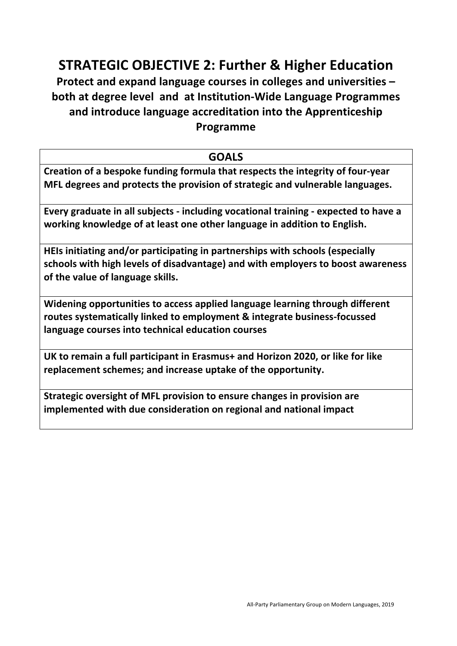### **STRATEGIC OBJECTIVE 2: Further & Higher Education**

**Protect and expand language courses in colleges and universities – both at degree level and at Institution-Wide Language Programmes**  and introduce language accreditation into the Apprenticeship **Programme**

#### **GOALS**

**Creation of a bespoke funding formula that respects the integrity of four-year MFL** degrees and protects the provision of strategic and vulnerable languages.

**Every graduate in all subjects - including vocational training - expected to have a** working knowledge of at least one other language in addition to English.

**HEIs initiating and/or participating in partnerships with schools (especially** schools with high levels of disadvantage) and with employers to boost awareness **of the value of language skills.**

**Widening opportunities to access applied language learning through different** routes systematically linked to employment & integrate business-focussed language courses into technical education courses

UK to remain a full participant in Erasmus+ and Horizon 2020, or like for like replacement schemes; and increase uptake of the opportunity.

**Strategic oversight of MFL provision to ensure changes in provision are implemented with due consideration on regional and national impact**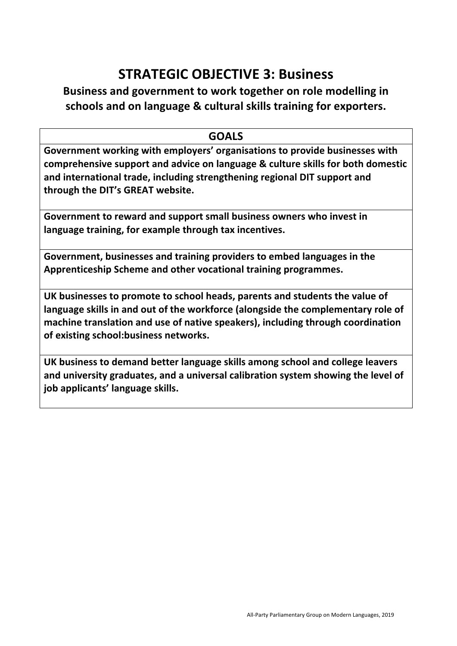### **STRATEGIC OBJECTIVE 3: Business**

#### **Business and government to work together on role modelling in** schools and on language & cultural skills training for exporters.

#### **GOALS**

Government working with employers' organisations to provide businesses with **comprehensive support and advice on language & culture skills for both domestic** and international trade, including strengthening regional DIT support and **through the DIT's GREAT website.**

Government to reward and support small business owners who invest in **language training, for example through tax incentives.** 

Government, businesses and training providers to embed languages in the Apprenticeship Scheme and other vocational training programmes.

UK businesses to promote to school heads, parents and students the value of language skills in and out of the workforce (alongside the complementary role of machine translation and use of native speakers), including through coordination **of existing school:business networks.** 

UK business to demand better language skills among school and college leavers and university graduates, and a universal calibration system showing the level of **job applicants' language skills.**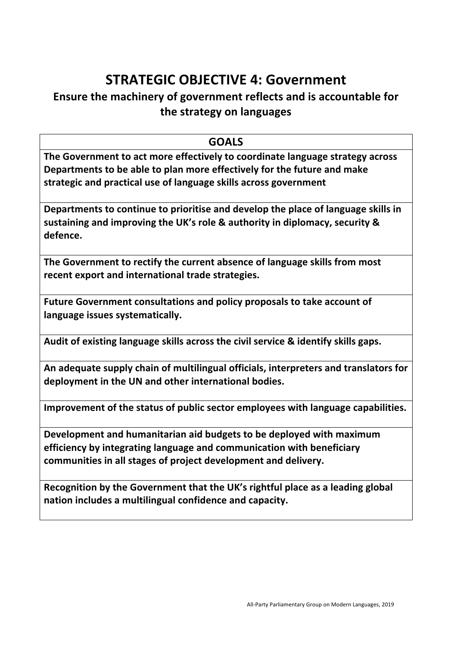### **STRATEGIC OBJECTIVE 4: Government**

#### **Ensure the machinery of government reflects and is accountable for the strategy on languages**

#### **GOALS**

**The Government to act more effectively to coordinate language strategy across Departments to be able to plan more effectively for the future and make** strategic and practical use of language skills across government

Departments to continue to prioritise and develop the place of language skills in sustaining and improving the UK's role & authority in diplomacy, security & **defence.**

The Government to rectify the current absence of language skills from most **recent export and international trade strategies.** 

Future Government consultations and policy proposals to take account of language issues systematically.

Audit of existing language skills across the civil service & identify skills gaps.

An adequate supply chain of multilingual officials, interpreters and translators for deployment in the UN and other international bodies.

**Improvement of the status of public sector employees with language capabilities.** 

Development and humanitarian aid budgets to be deployed with maximum **efficiency by integrating language and communication with beneficiary** communities in all stages of project development and delivery.

Recognition by the Government that the UK's rightful place as a leading global nation includes a multilingual confidence and capacity.